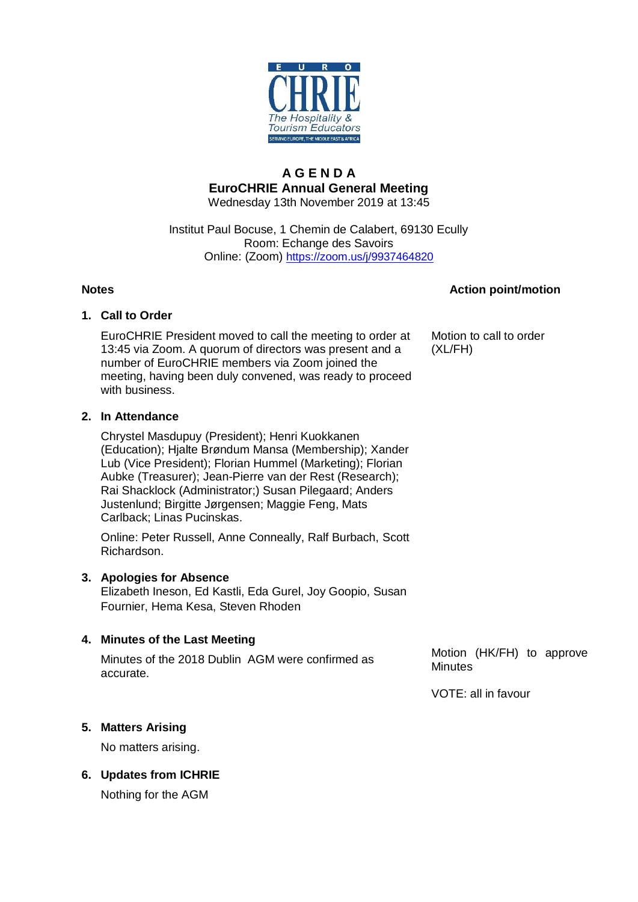

## **A G E N D A EuroCHRIE Annual General Meeting** Wednesday 13th November 2019 at 13:45

# Institut Paul Bocuse, 1 Chemin de Calabert, 69130 Ecully Room: Echange des Savoirs Online: (Zoom) <https://zoom.us/j/9937464820>

# **Notes Action point/motion**

# **1. Call to Order**

EuroCHRIE President moved to call the meeting to order at 13:45 via Zoom. A quorum of directors was present and a number of EuroCHRIE members via Zoom joined the meeting, having been duly convened, was ready to proceed with business.

Motion to call to order (XL/FH)

# **2. In Attendance**

Chrystel Masdupuy (President); Henri Kuokkanen (Education); Hjalte Brøndum Mansa (Membership); Xander Lub (Vice President); Florian Hummel (Marketing); Florian Aubke (Treasurer); Jean-Pierre van der Rest (Research); Rai Shacklock (Administrator;) Susan Pilegaard; Anders Justenlund; Birgitte Jørgensen; Maggie Feng, Mats Carlback; Linas Pucinskas.

Online: Peter Russell, Anne Conneally, Ralf Burbach, Scott Richardson.

# **3. Apologies for Absence**

Elizabeth Ineson, Ed Kastli, Eda Gurel, Joy Goopio, Susan Fournier, Hema Kesa, Steven Rhoden

# **4. Minutes of the Last Meeting**

Minutes of the 2018 Dublin AGM were confirmed as accurate.

Motion (HK/FH) to approve **Minutes** 

VOTE: all in favour

# **5. Matters Arising**

No matters arising.

**6. Updates from ICHRIE** 

Nothing for the AGM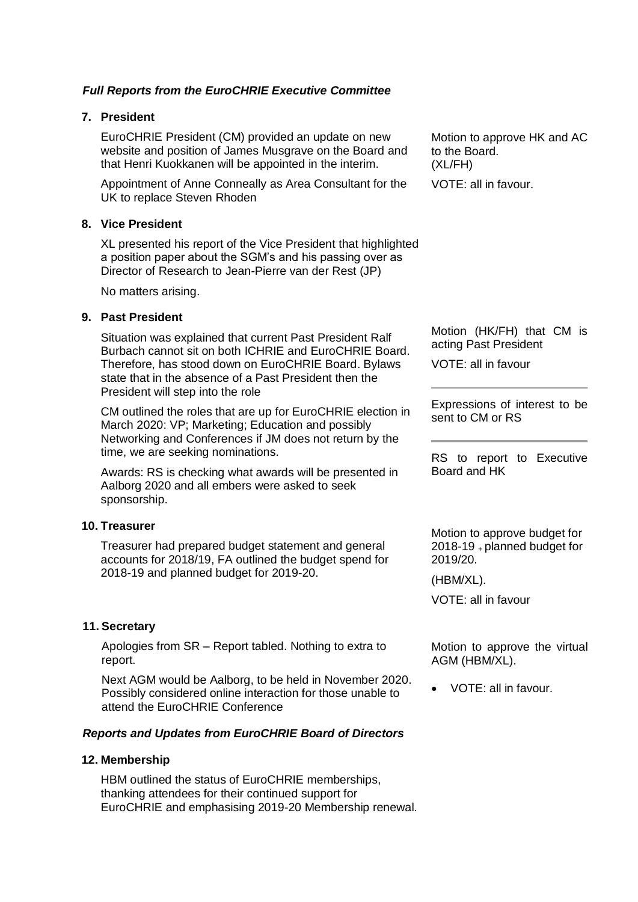# *Full Reports from the EuroCHRIE Executive Committee*

# **7. President**

EuroCHRIE President (CM) provided an update on new website and position of James Musgrave on the Board and that Henri Kuokkanen will be appointed in the interim.

Appointment of Anne Conneally as Area Consultant for the UK to replace Steven Rhoden

# **8. Vice President**

XL presented his report of the Vice President that highlighted a position paper about the SGM's and his passing over as Director of Research to Jean-Pierre van der Rest (JP)

No matters arising.

# **9. Past President**

Situation was explained that current Past President Ralf Burbach cannot sit on both ICHRIE and EuroCHRIE Board. Therefore, has stood down on EuroCHRIE Board. Bylaws state that in the absence of a Past President then the President will step into the role

CM outlined the roles that are up for EuroCHRIE election in March 2020: VP; Marketing; Education and possibly Networking and Conferences if JM does not return by the time, we are seeking nominations.

Awards: RS is checking what awards will be presented in Aalborg 2020 and all embers were asked to seek sponsorship.

# **10. Treasurer**

Treasurer had prepared budget statement and general accounts for 2018/19, FA outlined the budget spend for 2018-19 and planned budget for 2019-20.

# **11. Secretary**

Apologies from SR – Report tabled. Nothing to extra to report.

Next AGM would be Aalborg, to be held in November 2020. Possibly considered online interaction for those unable to attend the EuroCHRIE Conference

# *Reports and Updates from EuroCHRIE Board of Directors*

# **12. Membership**

HBM outlined the status of EuroCHRIE memberships, thanking attendees for their continued support for EuroCHRIE and emphasising 2019-20 Membership renewal.

Motion to approve HK and AC to the Board. (XL/FH) VOTE: all in favour.

Motion (HK/FH) that CM is acting Past President

VOTE: all in favour

Expressions of interest to be sent to CM or RS

RS to report to Executive Board and HK

Motion to approve budget for 2018-19 <sup>+</sup>planned budget for 2019/20.

(HBM/XL).

VOTE: all in favour

Motion to approve the virtual AGM (HBM/XL).

• VOTE: all in favour.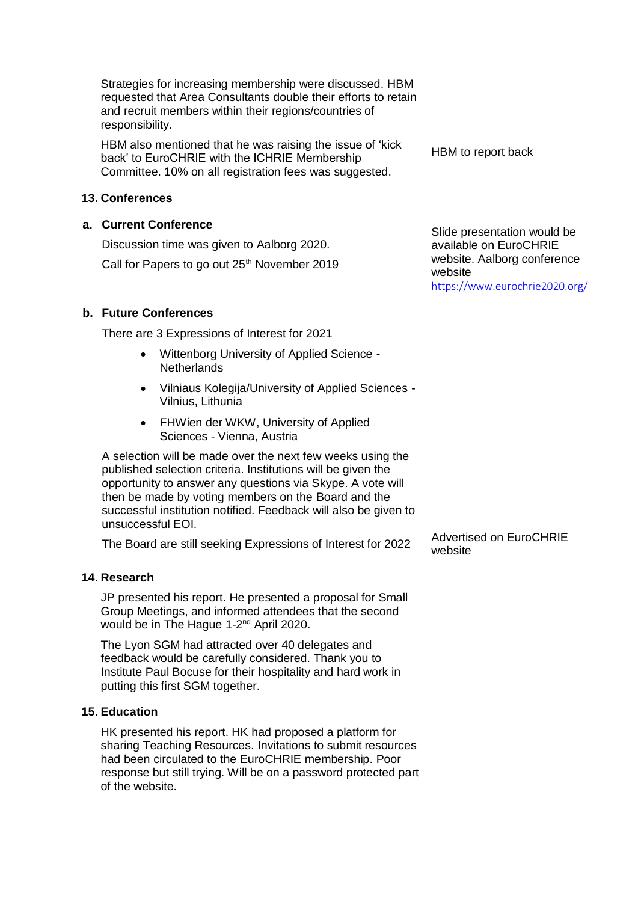Strategies for increasing membership were discussed. HBM requested that Area Consultants double their efforts to retain and recruit members within their regions/countries of responsibility.

HBM also mentioned that he was raising the issue of 'kick back' to EuroCHRIE with the ICHRIE Membership Committee. 10% on all registration fees was suggested.

# **13. Conferences**

# **a. Current Conference**

Discussion time was given to Aalborg 2020.

Call for Papers to go out 25<sup>th</sup> November 2019

# **b. Future Conferences**

There are 3 Expressions of Interest for 2021

- Wittenborg University of Applied Science **Netherlands**
- Vilniaus Kolegija/University of Applied Sciences Vilnius, Lithunia
- FHWien der WKW, University of Applied Sciences - Vienna, Austria

A selection will be made over the next few weeks using the published selection criteria. Institutions will be given the opportunity to answer any questions via Skype. A vote will then be made by voting members on the Board and the successful institution notified. Feedback will also be given to unsuccessful EOI.

The Board are still seeking Expressions of Interest for 2022 Advertised on EuroCHRIE

# **14. Research**

JP presented his report. He presented a proposal for Small Group Meetings, and informed attendees that the second would be in The Hague 1-2<sup>nd</sup> April 2020.

The Lyon SGM had attracted over 40 delegates and feedback would be carefully considered. Thank you to Institute Paul Bocuse for their hospitality and hard work in putting this first SGM together.

# **15. Education**

HK presented his report. HK had proposed a platform for sharing Teaching Resources. Invitations to submit resources had been circulated to the EuroCHRIE membership. Poor response but still trying. Will be on a password protected part of the website.

HBM to report back

Slide presentation would be available on EuroCHRIE website. Aalborg conference website <https://www.eurochrie2020.org/>

website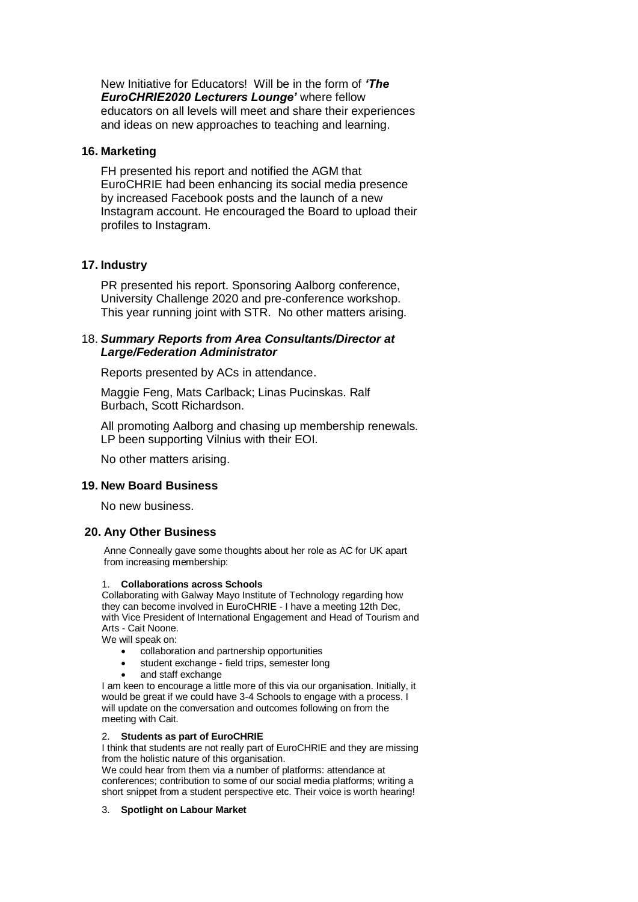New Initiative for Educators! Will be in the form of *'The EuroCHRIE2020 Lecturers Lounge'* where fellow educators on all levels will meet and share their experiences and ideas on new approaches to teaching and learning.

## **16. Marketing**

FH presented his report and notified the AGM that EuroCHRIE had been enhancing its social media presence by increased Facebook posts and the launch of a new Instagram account. He encouraged the Board to upload their profiles to Instagram.

## **17. Industry**

PR presented his report. Sponsoring Aalborg conference, University Challenge 2020 and pre-conference workshop. This year running joint with STR. No other matters arising.

## 18. *Summary Reports from Area Consultants/Director at Large/Federation Administrator*

Reports presented by ACs in attendance.

Maggie Feng, Mats Carlback; Linas Pucinskas. Ralf Burbach, Scott Richardson.

All promoting Aalborg and chasing up membership renewals. LP been supporting Vilnius with their EOI.

No other matters arising.

#### **19. New Board Business**

No new business.

## **20. Any Other Business**

Anne Conneally gave some thoughts about her role as AC for UK apart from increasing membership:

#### 1. **Collaborations across Schools**

Collaborating with Galway Mayo Institute of Technology regarding how they can become involved in EuroCHRIE - I have a meeting 12th Dec, with Vice President of International Engagement and Head of Tourism and Arts - Cait Noone.

We will speak on:

- collaboration and partnership opportunities
- student exchange field trips, semester long
- and staff exchange

I am keen to encourage a little more of this via our organisation. Initially, it would be great if we could have 3-4 Schools to engage with a process. I will update on the conversation and outcomes following on from the meeting with Cait.

#### 2. **Students as part of EuroCHRIE**

I think that students are not really part of EuroCHRIE and they are missing from the holistic nature of this organisation.

We could hear from them via a number of platforms: attendance at conferences; contribution to some of our social media platforms; writing a short snippet from a student perspective etc. Their voice is worth hearing!

#### 3. **Spotlight on Labour Market**